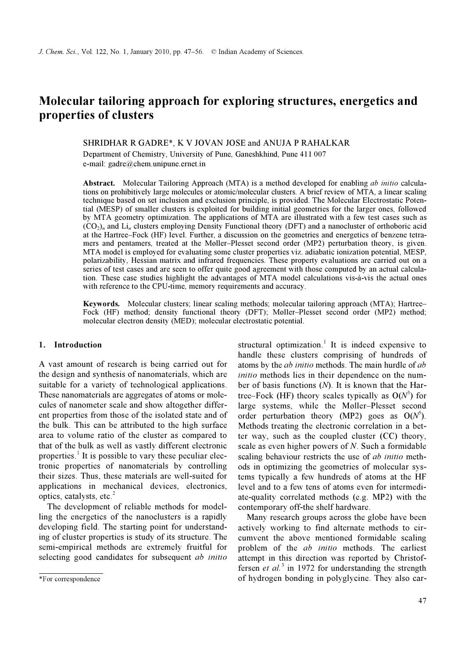# Molecular tailoring approach for exploring structures, energetics and properties of clusters

SHRIDHAR R GADRE\*, K V JOVAN JOSE and ANUJA P RAHALKAR

Department of Chemistry, University of Pune, Ganeshkhind, Pune 411 007 e-mail: gadre@chem.unipune.ernet.in

Abstract. Molecular Tailoring Approach (MTA) is a method developed for enabling ab initio calculations on prohibitively large molecules or atomic/molecular clusters. A brief review of MTA, a linear scaling technique based on set inclusion and exclusion principle, is provided. The Molecular Electrostatic Potential (MESP) of smaller clusters is exploited for building initial geometries for the larger ones, followed by MTA geometry optimization. The applications of MTA are illustrated with a few test cases such as  $(CO_2)$ <sub>n</sub> and Li<sub>n</sub> clusters employing Density Functional theory (DFT) and a nanocluster of orthoboric acid at the Hartree–Fock (HF) level. Further, a discussion on the geometries and energetics of benzene tetramers and pentamers, treated at the Møller–Plesset second order (MP2) perturbation theory, is given. MTA model is employed for evaluating some cluster properties viz. adiabatic ionization potential, MESP, polarizability, Hessian matrix and infrared frequencies. These property evaluations are carried out on a series of test cases and are seen to offer quite good agreement with those computed by an actual calculation. These case studies highlight the advantages of MTA model calculations vis-à-vis the actual ones with reference to the CPU-time, memory requirements and accuracy.

Keywords. Molecular clusters; linear scaling methods; molecular tailoring approach (MTA); Hartree– Fock (HF) method; density functional theory (DFT); Møller–Plesset second order (MP2) method; molecular electron density (MED); molecular electrostatic potential.

# 1. Introduction

A vast amount of research is being carried out for the design and synthesis of nanomaterials, which are suitable for a variety of technological applications. These nanomaterials are aggregates of atoms or molecules of nanometer scale and show altogether different properties from those of the isolated state and of the bulk. This can be attributed to the high surface area to volume ratio of the cluster as compared to that of the bulk as well as vastly different electronic properties.<sup>1</sup> It is possible to vary these peculiar electronic properties of nanomaterials by controlling their sizes. Thus, these materials are well-suited for applications in mechanical devices, electronics, optics, catalysts, etc.<sup>2</sup>

 The development of reliable methods for modelling the energetics of the nanoclusters is a rapidly developing field. The starting point for understanding of cluster properties is study of its structure. The semi-empirical methods are extremely fruitful for selecting good candidates for subsequent *ab initio* 

structural optimization.<sup>1</sup> It is indeed expensive to handle these clusters comprising of hundreds of atoms by the *ab initio* methods. The main hurdle of *ab* initio methods lies in their dependence on the number of basis functions  $(N)$ . It is known that the Hartree–Fock (HF) theory scales typically as  $O(N^3)$  for large systems, while the Møller–Plesset second order perturbation theory (MP2) goes as  $O(N^5)$ . Methods treating the electronic correlation in a better way, such as the coupled cluster (CC) theory, scale as even higher powers of N. Such a formidable scaling behaviour restricts the use of *ab initio* methods in optimizing the geometries of molecular systems typically a few hundreds of atoms at the HF level and to a few tens of atoms even for intermediate-quality correlated methods (e.g. MP2) with the contemporary off-the shelf hardware.

 Many research groups across the globe have been actively working to find alternate methods to circumvent the above mentioned formidable scaling problem of the *ab initio* methods. The earliest attempt in this direction was reported by Christoffersen et  $al^3$  in 1972 for understanding the strength of hydrogen bonding in polyglycine. They also car-

<sup>\*</sup>For correspondence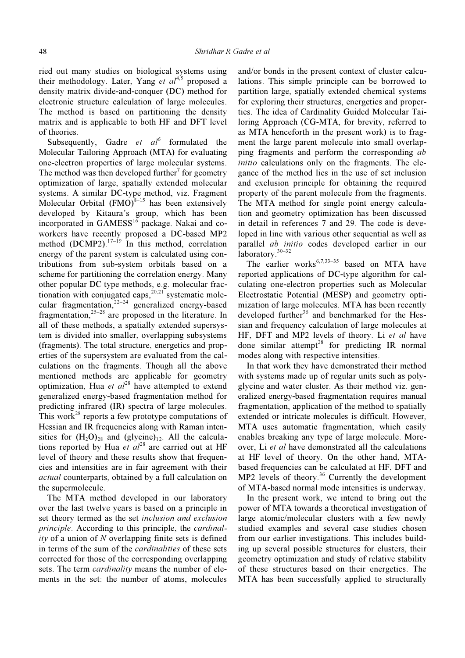ried out many studies on biological systems using their methodology. Later, Yang et  $al^{4,5}$  proposed a density matrix divide-and-conquer (DC) method for electronic structure calculation of large molecules. The method is based on partitioning the density matrix and is applicable to both HF and DFT level of theories.

Subsequently, Gadre et  $a l^6$  formulated the Molecular Tailoring Approach (MTA) for evaluating one-electron properties of large molecular systems. The method was then developed further<sup>7</sup> for geometry optimization of large, spatially extended molecular systems. A similar DC-type method, viz. Fragment Molecular Orbital  $(FMO)^{8-15}$  has been extensively developed by Kitaura's group, which has been incorporated in  $GAMES<sup>16</sup> package$ . Nakai and coworkers have recently proposed a DC-based MP2 method (DCMP2).<sup>17–19</sup> In this method, correlation energy of the parent system is calculated using contributions from sub-system orbitals based on a scheme for partitioning the correlation energy. Many other popular DC type methods, e.g. molecular fractionation with conjugated caps,  $^{20,21}$  systematic molecular fragmentation, $2^{2-24}$  generalized energy-based fragmentation, $25-28$  are proposed in the literature. In all of these methods, a spatially extended supersystem is divided into smaller, overlapping subsystems (fragments). The total structure, energetics and properties of the supersystem are evaluated from the calculations on the fragments. Though all the above mentioned methods are applicable for geometry optimization, Hua et  $al^{28}$  have attempted to extend generalized energy-based fragmentation method for predicting infrared (IR) spectra of large molecules. This work<sup>28</sup> reports a few prototype computations of Hessian and IR frequencies along with Raman intensities for  $(H_2O)_{28}$  and  $(glycine)_{12}$ . All the calculations reported by Hua et  $al^{28}$  are carried out at HF level of theory and these results show that frequencies and intensities are in fair agreement with their actual counterparts, obtained by a full calculation on the supermolecule.

 The MTA method developed in our laboratory over the last twelve years is based on a principle in set theory termed as the set inclusion and exclusion principle. According to this principle, the cardinality of a union of  $N$  overlapping finite sets is defined in terms of the sum of the cardinalities of these sets corrected for those of the corresponding overlapping sets. The term cardinality means the number of elements in the set: the number of atoms, molecules

and/or bonds in the present context of cluster calculations. This simple principle can be borrowed to partition large, spatially extended chemical systems for exploring their structures, energetics and properties. The idea of Cardinality Guided Molecular Tailoring Approach (CG-MTA, for brevity, referred to as MTA henceforth in the present work) is to fragment the large parent molecule into small overlapping fragments and perform the corresponding ab initio calculations only on the fragments. The elegance of the method lies in the use of set inclusion and exclusion principle for obtaining the required property of the parent molecule from the fragments. The MTA method for single point energy calculation and geometry optimization has been discussed in detail in references 7 and 29. The code is developed in line with various other sequential as well as parallel ab initio codes developed earlier in our laboratory. $30-32$ 

The earlier works<sup>6,7,33-35</sup> based on MTA have reported applications of DC-type algorithm for calculating one-electron properties such as Molecular Electrostatic Potential (MESP) and geometry optimization of large molecules. MTA has been recently developed further<sup>36</sup> and benchmarked for the Hessian and frequency calculation of large molecules at HF, DFT and MP2 levels of theory. Li et al have done similar attempt<sup>28</sup> for predicting IR normal modes along with respective intensities.

 In that work they have demonstrated their method with systems made up of regular units such as polyglycine and water cluster. As their method viz. generalized energy-based fragmentation requires manual fragmentation, application of the method to spatially extended or intricate molecules is difficult. However, MTA uses automatic fragmentation, which easily enables breaking any type of large molecule. Moreover, Li et al have demonstrated all the calculations at HF level of theory. On the other hand, MTAbased frequencies can be calculated at HF, DFT and MP2 levels of theory.<sup>36</sup> Currently the development of MTA-based normal mode intensities is underway.

 In the present work, we intend to bring out the power of MTA towards a theoretical investigation of large atomic/molecular clusters with a few newly studied examples and several case studies chosen from our earlier investigations. This includes building up several possible structures for clusters, their geometry optimization and study of relative stability of these structures based on their energetics. The MTA has been successfully applied to structurally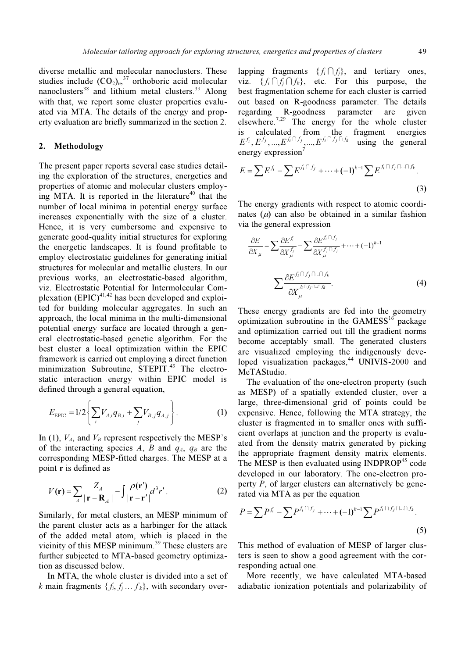diverse metallic and molecular nanoclusters. These studies include  $(CO_2)_n$ <sup>37</sup> orthoboric acid molecular nanoclusters<sup>38</sup> and lithium metal clusters.<sup>39</sup> Along with that, we report some cluster properties evaluated via MTA. The details of the energy and property evaluation are briefly summarized in the section 2.

## 2. Methodology

The present paper reports several case studies detailing the exploration of the structures, energetics and properties of atomic and molecular clusters employing MTA. It is reported in the literature<sup>40</sup> that the number of local minima in potential energy surface increases exponentially with the size of a cluster. Hence, it is very cumbersome and expensive to generate good-quality initial structures for exploring the energetic landscapes. It is found profitable to employ electrostatic guidelines for generating initial structures for molecular and metallic clusters. In our previous works, an electrostatic-based algorithm, viz. Electrostatic Potential for Intermolecular Complexation  $(EPIC)^{41,42}$  has been developed and exploited for building molecular aggregates. In such an approach, the local minima in the multi-dimensional potential energy surface are located through a general electrostatic-based genetic algorithm. For the best cluster a local optimization within the EPIC framework is carried out employing a direct function minimization Subroutine,  $STEPIT.43$  The electrostatic interaction energy within EPIC model is defined through a general equation,

$$
E_{\rm EPC} = 1/2 \left\{ \sum_{i} V_{A,i} q_{B,i} + \sum_{j} V_{B,j} q_{A,j} \right\}.
$$
 (1)

In (1),  $V_A$ , and  $V_B$  represent respectively the MESP's of the interacting species A, B and  $q_A$ ,  $q_B$  are the corresponding MESP-fitted charges. The MESP at a point r is defined as

$$
V(\mathbf{r}) = \sum_{A} \frac{Z_A}{|\mathbf{r} - \mathbf{R}_A|} - \int \frac{\rho(\mathbf{r}')}{|\mathbf{r} - \mathbf{r}'|} d^3 r' \,. \tag{2}
$$

Similarly, for metal clusters, an MESP minimum of the parent cluster acts as a harbinger for the attack of the added metal atom, which is placed in the vicinity of this MESP minimum.<sup>39</sup> These clusters are further subjected to MTA-based geometry optimization as discussed below.

 In MTA, the whole cluster is divided into a set of k main fragments  $\{f_i, f_j, \ldots, f_k\}$ , with secondary overlapping fragments  $\{f_i \cap f_j\}$ , and tertiary ones, viz.  $\{f_i \cap f_j \cap f_k\}$ , etc. For this purpose, the best fragmentation scheme for each cluster is carried out based on R-goodness parameter. The details regarding R-goodness parameter are given elsewhere.<sup>7,29</sup> The energy for the whole cluster is calculated from the fragment energies  $E^{f_i}, E^{f_j}, ..., E^{f_i \cap f_j}, ..., E^{f_i \cap f_j \cap f_k}$  using the general energy expression<sup>7</sup> s calculated from the fragment energi<br>  $E^{f_i}, E^{f_j}, ..., E^{f_i \cap f_j}, ..., E^{f_i \cap f_j \cap f_k}$  using the genergy expression<sup>7</sup><br>  $E = \sum E^{f_i} - \sum E^{f_i \cap f_j} + ... + (-1)^{k-1} \sum E^{f_i \cap f_j \cap ... \cap f_k}$ .

$$
E = \sum E^{f_i} - \sum E^{f_i \cap f_j} + \dots + (-1)^{k-1} \sum E^{f_i \cap f_j \cap \dots \cap f_k}.
$$
\n(3)

The energy gradients with respect to atomic coordinates ( $\mu$ ) can also be obtained in a similar fashion<br>via the general expression<br> $\partial E \longrightarrow \partial E^{f_i \cap f_j}$ via the general expression

$$
\frac{\partial E}{\partial X_{\mu}} = \sum \frac{\partial E^{f_i}}{\partial X_{\mu}^{f_j}} - \sum \frac{\partial E^{f_i \cap f_j}}{\partial X_{\mu}^{f_j \cap f_j}} + \dots + (-1)^{k-1}
$$
\n
$$
\sum \frac{\partial E^{f_i \cap f_j \cap \dots \cap f_k}}{\partial X_{\mu}^{f_i \cap f_j \cap \dots \cap f_k}}.
$$
\n(4)

These energy gradients are fed into the geometry optimization subroutine in the  $GAMESS^{16}$  package and optimization carried out till the gradient norms become acceptably small. The generated clusters are visualized employing the indigenously developed visualization packages,<sup>44</sup> UNIVIS-2000 and MeTAStudio.

 The evaluation of the one-electron property (such as MESP) of a spatially extended cluster, over a large, three-dimensional grid of points could be expensive. Hence, following the MTA strategy, the cluster is fragmented in to smaller ones with sufficient overlaps at junction and the property is evaluated from the density matrix generated by picking the appropriate fragment density matrix elements. The MESP is then evaluated using INDPROP $45$  code developed in our laboratory. The one-electron pro-<br>perty P, of larger clusters can alternatively be gene-<br>rated via MTA as per the equation<br> $P = \sum P^{f_i \cap f_j} + \cdots + (-1)^{k-1} \sum P^{f_i \cap f_j \cap \cdots \cap f_k}$ . perty  $P$ , of larger clusters can alternatively be generated via MTA as per the equation

$$
P = \sum P^{f_i} - \sum P^{f_i \cap f_j} + \dots + (-1)^{k-1} \sum P^{f_i \cap f_j \cap \dots \cap f_k}.
$$
\n(5)

This method of evaluation of MESP of larger clusters is seen to show a good agreement with the corresponding actual one.

 More recently, we have calculated MTA-based adiabatic ionization potentials and polarizability of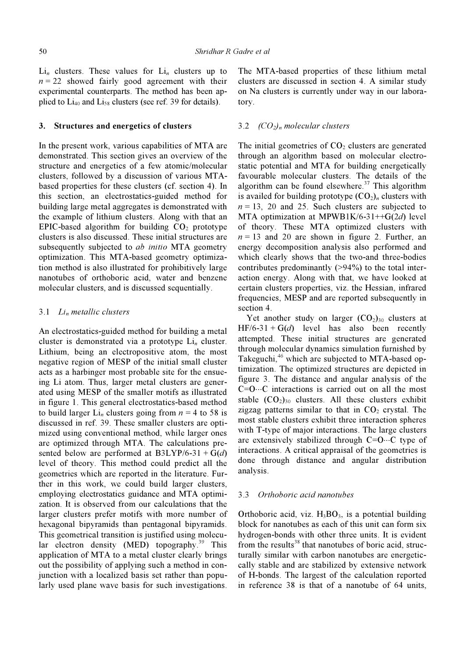$Li_n$  clusters. These values for  $Li_n$  clusters up to  $n = 22$  showed fairly good agreement with their experimental counterparts. The method has been applied to  $Li_{40}$  and  $Li_{58}$  clusters (see ref. 39 for details).

# 3. Structures and energetics of clusters

In the present work, various capabilities of MTA are demonstrated. This section gives an overview of the structure and energetics of a few atomic/molecular clusters, followed by a discussion of various MTAbased properties for these clusters (cf. section 4). In this section, an electrostatics-guided method for building large metal aggregates is demonstrated with the example of lithium clusters. Along with that an EPIC-based algorithm for building  $CO<sub>2</sub>$  prototype clusters is also discussed. These initial structures are subsequently subjected to *ab initio* MTA geometry optimization. This MTA-based geometry optimization method is also illustrated for prohibitively large nanotubes of orthoboric acid, water and benzene molecular clusters, and is discussed sequentially.

## 3.1  $Li_n$  metallic clusters

An electrostatics-guided method for building a metal cluster is demonstrated via a prototype  $Li_n$  cluster. Lithium, being an electropositive atom, the most negative region of MESP of the initial small cluster acts as a harbinger most probable site for the ensueing Li atom. Thus, larger metal clusters are generated using MESP of the smaller motifs as illustrated in figure 1. This general electrostatics-based method to build larger  $Li_n$  clusters going from  $n = 4$  to 58 is discussed in ref. 39. These smaller clusters are optimized using conventional method, while larger ones are optimized through MTA. The calculations presented below are performed at  $B3LYP/6-31 + G(d)$ level of theory. This method could predict all the geometries which are reported in the literature. Further in this work, we could build larger clusters, employing electrostatics guidance and MTA optimization. It is observed from our calculations that the larger clusters prefer motifs with more number of hexagonal bipyramids than pentagonal bipyramids. This geometrical transition is justified using molecular electron density (MED) topography.<sup>39</sup> This application of MTA to a metal cluster clearly brings out the possibility of applying such a method in conjunction with a localized basis set rather than popularly used plane wave basis for such investigations.

The MTA-based properties of these lithium metal clusters are discussed in section 4. A similar study on Na clusters is currently under way in our laboratory.

## 3.2  $(CO_2)_n$  molecular clusters

The initial geometries of  $CO<sub>2</sub>$  clusters are generated through an algorithm based on molecular electrostatic potential and MTA for building energetically favourable molecular clusters. The details of the algorithm can be found elsewhere.<sup>37</sup> This algorithm is availed for building prototype  $(CO_2)_n$  clusters with  $n = 13$ , 20 and 25. Such clusters are subjected to MTA optimization at MPWB1K/6-31++G(2d) level of theory. These MTA optimized clusters with  $n = 13$  and 20 are shown in figure 2. Further, an energy decomposition analysis also performed and which clearly shows that the two-and three-bodies contributes predominantly (>94%) to the total interaction energy. Along with that, we have looked at certain clusters properties, viz. the Hessian, infrared frequencies, MESP and are reported subsequently in section 4.

Yet another study on larger  $(CO<sub>2</sub>)<sub>30</sub>$  clusters at  $HF/6-31 + G(d)$  level has also been recently attempted. These initial structures are generated through molecular dynamics simulation furnished by Takeguchi,<sup>46</sup> which are subjected to MTA-based optimization. The optimized structures are depicted in figure 3. The distance and angular analysis of the  $C=O \cdots C$  interactions is carried out on all the most stable  $(CO_2)_{30}$  clusters. All these clusters exhibit zigzag patterns similar to that in  $CO<sub>2</sub>$  crystal. The most stable clusters exhibit three interaction spheres with T-type of major interactions. The large clusters are extensively stabilized through C=O⋅⋅⋅C type of interactions. A critical appraisal of the geometries is done through distance and angular distribution analysis.

## 3.3 Orthoboric acid nanotubes

Orthoboric acid, viz.  $H_3BO_3$ , is a potential building block for nanotubes as each of this unit can form six hydrogen-bonds with other three units. It is evident from the results<sup>38</sup> that nanotubes of boric acid, structurally similar with carbon nanotubes are energeticcally stable and are stabilized by extensive network of H-bonds. The largest of the calculation reported in reference 38 is that of a nanotube of 64 units,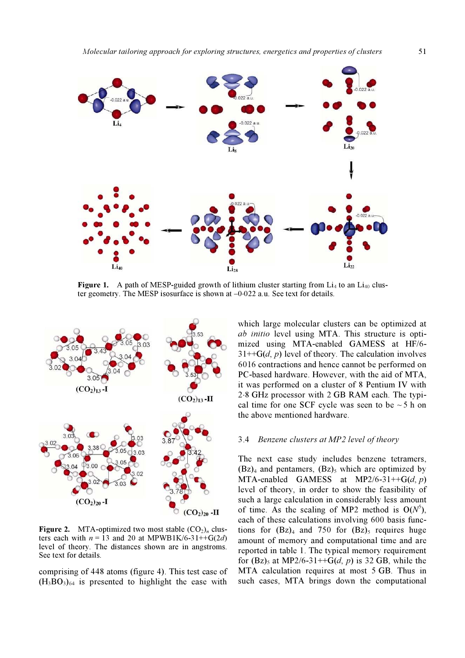

**Figure 1.** A path of MESP-guided growth of lithium cluster starting from  $Li_4$  to an  $Li_{40}$  cluster geometry. The MESP isosurface is shown at –0⋅022 a.u. See text for details.



**Figure 2.** MTA-optimized two most stable  $(CO_2)_n$  clusters each with  $n = 13$  and 20 at MPWB1K/6-31++G(2d) level of theory. The distances shown are in angstroms. See text for details.

comprising of 448 atoms (figure 4). This test case of  $(H_3BO_3)_{64}$  is presented to highlight the ease with

which large molecular clusters can be optimized at ab initio level using MTA. This structure is optimized using MTA-enabled GAMESS at HF/6-  $31++G(d, p)$  level of theory. The calculation involves 6016 contractions and hence cannot be performed on PC-based hardware. However, with the aid of MTA, it was performed on a cluster of 8 Pentium IV with 2⋅8 GHz processor with 2 GB RAM each. The typical time for one SCF cycle was seen to be  $\sim$  5 h on the above mentioned hardware.

# 3.4 Benzene clusters at MP2 level of theory

The next case study includes benzene tetramers,  $(Bz)<sub>4</sub>$  and pentamers,  $(Bz)<sub>5</sub>$  which are optimized by MTA-enabled GAMESS at MP2/6-31++G(d, p) level of theory, in order to show the feasibility of such a large calculation in considerably less amount of time. As the scaling of MP2 method is  $O(N^5)$ , each of these calculations involving 600 basis functions for  $(Bz)<sub>4</sub>$  and 750 for  $(Bz)<sub>5</sub>$  requires huge amount of memory and computational time and are reported in table 1. The typical memory requirement for  $(Bz)$ <sub>5</sub> at MP2/6-31++G(d, p) is 32 GB, while the MTA calculation requires at most 5 GB. Thus in such cases, MTA brings down the computational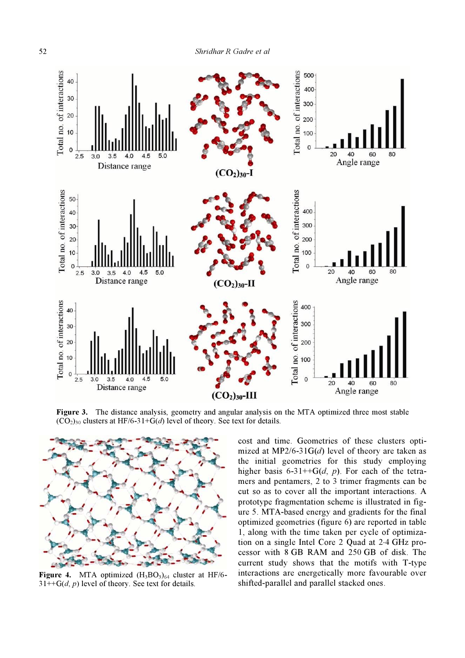

Figure 3. The distance analysis, geometry and angular analysis on the MTA optimized three most stable  $(CO<sub>2</sub>)<sub>30</sub>$  clusters at HF/6-31+G(d) level of theory. See text for details.



Figure 4. MTA optimized  $(H_3BO_3)_{64}$  cluster at HF/6- $31++G(d, p)$  level of theory. See text for details.

cost and time. Geometries of these clusters optimized at MP2/6-31G(d) level of theory are taken as the initial geometries for this study employing higher basis 6-31++G(d, p). For each of the tetramers and pentamers, 2 to 3 trimer fragments can be cut so as to cover all the important interactions. A prototype fragmentation scheme is illustrated in figure 5. MTA-based energy and gradients for the final optimized geometries (figure 6) are reported in table 1, along with the time taken per cycle of optimization on a single Intel Core 2 Quad at 2⋅4 GHz processor with 8 GB RAM and 250 GB of disk. The current study shows that the motifs with T-type interactions are energetically more favourable over shifted-parallel and parallel stacked ones.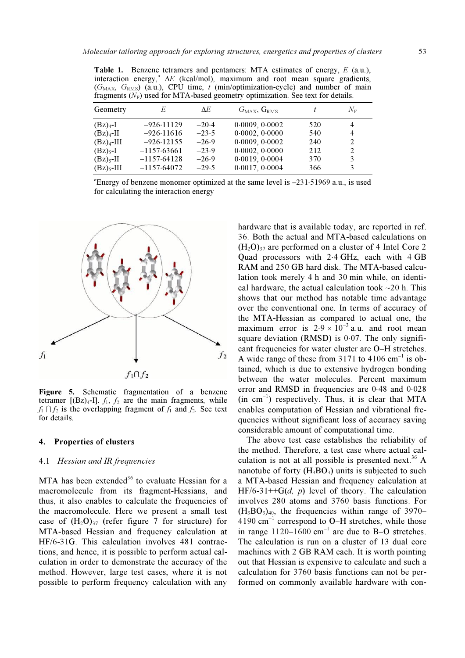**Table 1.** Benzene tetramers and pentamers: MTA estimates of energy,  $E$  (a.u.), interaction energy,<sup>a</sup>  $\Delta E$  (kcal/mol), maximum and root mean square gradients,  $(G_{MAX}, G_{RMS})$  (a.u.), CPU time, t (min/optimization-cycle) and number of main fragments  $(N_F)$  used for MTA-based geometry optimization. See text for details.

| Geometry        | E                  | ΔE      | $G_{\text{MAX}}$ , $G_{\text{RMS}}$ |     | $N_{\rm F}$ |
|-----------------|--------------------|---------|-------------------------------------|-----|-------------|
| $(Bz)4-I$       | $-926 \cdot 11129$ | $-20.4$ | 0.0009, 0.0002                      | 520 | 4           |
| $(Bz)4-II$      | $-926 \cdot 11616$ | $-23.5$ | 0.0002, 0.0000                      | 540 | 4           |
| $(Bz)4$ -III    | $-926.12155$       | $-26.9$ | 0.0009, 0.0002                      | 240 | 2           |
| $(Bz)_{5}$ -I   | $-1157.63661$      | $-23.9$ | 0.0002, 0.0000                      | 212 | 2           |
| $(Bz)_{5}$ -II  | $-1157.64128$      | $-26.9$ | 0.0019, 0.0004                      | 370 | 3           |
| $(Bz)_{5}$ -III | $-1157.64072$      | $-29.5$ | 0.0017, 0.0004                      | 366 | 3           |
|                 |                    |         |                                     |     |             |

a Energy of benzene monomer optimized at the same level is –231⋅51969 a.u., is used for calculating the interaction energy



Figure 5. Schematic fragmentation of a benzene tetramer  $[(Bz)<sub>4</sub>-1]$ .  $f_1$ ,  $f_2$  are the main fragments, while  $f_1 \cap f_2$  is the overlapping fragment of  $f_1$  and  $f_2$ . See text for details.

# 4. Properties of clusters

# 4.1 Hessian and IR frequencies

MTA has been extended<sup>36</sup> to evaluate Hessian for a macromolecule from its fragment-Hessians, and thus, it also enables to calculate the frequencies of the macromolecule. Here we present a small test case of  $(H_2O)_{37}$  (refer figure 7 for structure) for MTA-based Hessian and frequency calculation at HF/6-31G. This calculation involves 481 contractions, and hence, it is possible to perform actual calculation in order to demonstrate the accuracy of the method. However, large test cases, where it is not possible to perform frequency calculation with any hardware that is available today, are reported in ref. 36. Both the actual and MTA-based calculations on  $(H_2O)_{37}$  are performed on a cluster of 4 Intel Core 2 Quad processors with 2⋅4 GHz, each with 4 GB RAM and 250 GB hard disk. The MTA-based calculation took merely 4 h and 30 min while, on identical hardware, the actual calculation took  $\sim$ 20 h. This shows that our method has notable time advantage over the conventional one. In terms of accuracy of the MTA-Hessian as compared to actual one, the maximum error is  $2.9 \times 10^{-3}$  a.u. and root mean square deviation (RMSD) is 0.07. The only significant frequencies for water cluster are O–H stretches. A wide range of these from  $3171$  to  $4106$  cm<sup>-1</sup> is obtained, which is due to extensive hydrogen bonding between the water molecules. Percent maximum error and RMSD in frequencies are 0⋅48 and 0⋅028  $(in \text{ cm}^{-1})$  respectively. Thus, it is clear that MTA enables computation of Hessian and vibrational frequencies without significant loss of accuracy saving considerable amount of computational time.

 The above test case establishes the reliability of the method. Therefore, a test case where actual calculation is not at all possible is presented next.<sup>36</sup> A nanotube of forty  $(H_3BO_3)$  units is subjected to such a MTA-based Hessian and frequency calculation at  $HF/6-31++G(d, p)$  level of theory. The calculation involves 280 atoms and 3760 basis functions. For  $(H_3BO_3)_{40}$ , the frequencies within range of 3970– 4190  $\text{cm}^{-1}$  correspond to O–H stretches, while those in range  $1120-1600$  cm<sup>-1</sup> are due to B-O stretches. The calculation is run on a cluster of 13 dual core machines with 2 GB RAM each. It is worth pointing out that Hessian is expensive to calculate and such a calculation for 3760 basis functions can not be performed on commonly available hardware with con-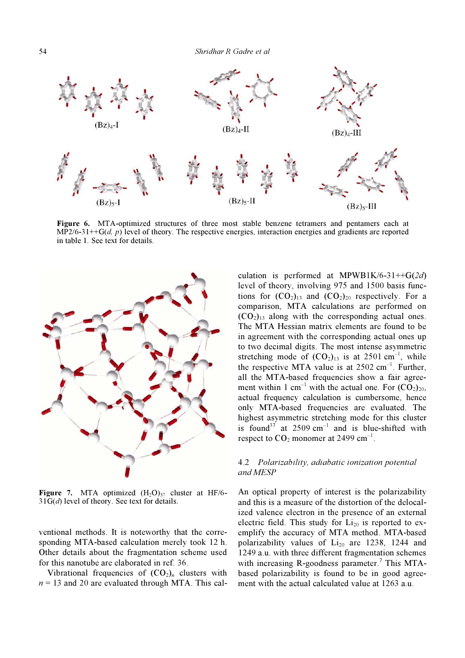

Figure 6. MTA-optimized structures of three most stable benzene tetramers and pentamers each at  $MP2/6-31++G(d, p)$  level of theory. The respective energies, interaction energies and gradients are reported in table 1. See text for details.



**Figure 7.** MTA optimized  $(H_2O)_{37}$  cluster at HF/6- $31G(d)$  level of theory. See text for details.

ventional methods. It is noteworthy that the corresponding MTA-based calculation merely took 12 h. Other details about the fragmentation scheme used for this nanotube are elaborated in ref. 36.

Vibrational frequencies of  $(CO_2)_n$  clusters with  $n = 13$  and 20 are evaluated through MTA. This cal-

culation is performed at MPWB1K/6-31++G(2d) level of theory, involving 975 and 1500 basis functions for  $(CO_2)_{13}$  and  $(CO_2)_{20}$  respectively. For a comparison, MTA calculations are performed on  $(CO<sub>2</sub>)<sub>13</sub>$  along with the corresponding actual ones. The MTA Hessian matrix elements are found to be in agreement with the corresponding actual ones up to two decimal digits. The most intense asymmetric stretching mode of  $(CO_2)_{13}$  is at 2501 cm<sup>-1</sup>, while the respective MTA value is at  $2502 \text{ cm}^{-1}$ . Further, all the MTA-based frequencies show a fair agreement within 1 cm<sup>-1</sup> with the actual one. For  $(CO_2)_{20}$ , actual frequency calculation is cumbersome, hence only MTA-based frequencies are evaluated. The highest asymmetric stretching mode for this cluster is found<sup>37</sup> at 2509 cm<sup>-1</sup> and is blue-shifted with respect to  $CO_2$  monomer at 2499 cm<sup>-1</sup>.

# 4.2 Polarizability, adiabatic ionization potential and MESP

An optical property of interest is the polarizability and this is a measure of the distortion of the delocalized valence electron in the presence of an external electric field. This study for  $Li_{20}$  is reported to exemplify the accuracy of MTA method. MTA-based polarizability values of  $Li_{20}$  are 1238, 1244 and 1249 a.u. with three different fragmentation schemes with increasing R-goodness parameter.<sup>7</sup> This MTAbased polarizability is found to be in good agreement with the actual calculated value at 1263 a.u.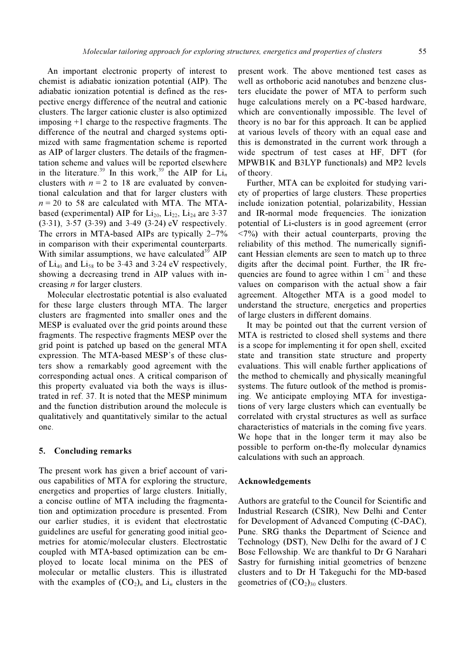An important electronic property of interest to chemist is adiabatic ionization potential (AIP). The adiabatic ionization potential is defined as the respective energy difference of the neutral and cationic clusters. The larger cationic cluster is also optimized imposing +1 charge to the respective fragments. The difference of the neutral and charged systems optimized with same fragmentation scheme is reported as AIP of larger clusters. The details of the fragmentation scheme and values will be reported elsewhere in the literature.<sup>39</sup> In this work,<sup>39</sup> the AIP for  $Li_n$ clusters with  $n = 2$  to 18 are evaluated by conventional calculation and that for larger clusters with  $n = 20$  to 58 are calculated with MTA. The MTAbased (experimental) AIP for  $Li_{20}$ ,  $Li_{22}$ ,  $Li_{24}$  are 3⋅37 (3⋅31), 3⋅57 (3⋅39) and 3⋅49 (3⋅24) eV respectively. The errors in MTA-based AIPs are typically 2–7% in comparison with their experimental counterparts. With similar assumptions, we have calculated $39$  AIP of  $Li_{40}$  and  $Li_{58}$  to be 3⋅43 and 3⋅24 eV respectively, showing a decreasing trend in AIP values with increasing *n* for larger clusters.

 Molecular electrostatic potential is also evaluated for these large clusters through MTA. The larger clusters are fragmented into smaller ones and the MESP is evaluated over the grid points around these fragments. The respective fragments MESP over the grid point is patched up based on the general MTA expression. The MTA-based MESP's of these clusters show a remarkably good agreement with the corresponding actual ones. A critical comparison of this property evaluated via both the ways is illustrated in ref. 37. It is noted that the MESP minimum and the function distribution around the molecule is qualitatively and quantitatively similar to the actual one.

## 5. Concluding remarks

The present work has given a brief account of various capabilities of MTA for exploring the structure, energetics and properties of large clusters. Initially, a concise outline of MTA including the fragmentation and optimization procedure is presented. From our earlier studies, it is evident that electrostatic guidelines are useful for generating good initial geometries for atomic/molecular clusters. Electrostatic coupled with MTA-based optimization can be employed to locate local minima on the PES of molecular or metallic clusters. This is illustrated with the examples of  $(CO_2)_n$  and  $Li_n$  clusters in the present work. The above mentioned test cases as well as orthoboric acid nanotubes and benzene clusters elucidate the power of MTA to perform such huge calculations merely on a PC-based hardware, which are conventionally impossible. The level of theory is no bar for this approach. It can be applied at various levels of theory with an equal ease and this is demonstrated in the current work through a wide spectrum of test cases at HF, DFT (for MPWB1K and B3LYP functionals) and MP2 levels of theory.

 Further, MTA can be exploited for studying variety of properties of large clusters. These properties include ionization potential, polarizability, Hessian and IR-normal mode frequencies. The ionization potential of Li-clusters is in good agreement (error <7%) with their actual counterparts, proving the reliability of this method. The numerically significant Hessian elements are seen to match up to three digits after the decimal point. Further, the IR frequencies are found to agree within  $1 \text{ cm}^{-1}$  and these values on comparison with the actual show a fair agreement. Altogether MTA is a good model to understand the structure, energetics and properties of large clusters in different domains.

 It may be pointed out that the current version of MTA is restricted to closed shell systems and there is a scope for implementing it for open shell, excited state and transition state structure and property evaluations. This will enable further applications of the method to chemically and physically meaningful systems. The future outlook of the method is promising. We anticipate employing MTA for investigations of very large clusters which can eventually be correlated with crystal structures as well as surface characteristics of materials in the coming five years. We hope that in the longer term it may also be possible to perform on-the-fly molecular dynamics calculations with such an approach.

#### Acknowledgements

Authors are grateful to the Council for Scientific and Industrial Research (CSIR), New Delhi and Center for Development of Advanced Computing (C-DAC), Pune. SRG thanks the Department of Science and Technology (DST), New Delhi for the award of J C Bose Fellowship. We are thankful to Dr G Narahari Sastry for furnishing initial geometries of benzene clusters and to Dr H Takeguchi for the MD-based geometries of  $(CO<sub>2</sub>)<sub>30</sub>$  clusters.